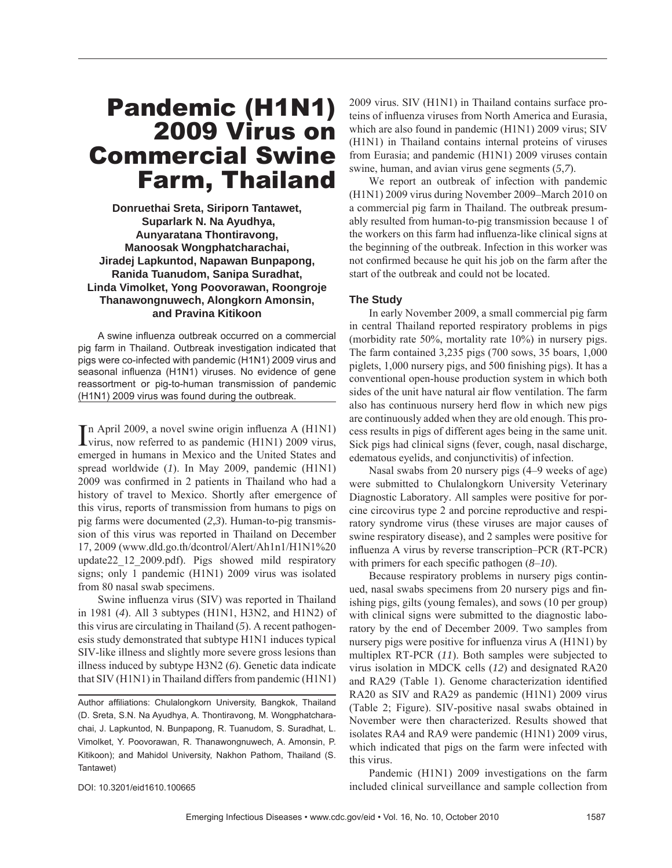# Pandemic (H1N1) 2009 Virus on Commercial Swine Farm, Thailand

**Donruethai Sreta, Siriporn Tantawet, Suparlark N. Na Ayudhya, Aunyaratana Thontiravong, Manoosak Wongphatcharachai, Jiradej Lapkuntod, Napawan Bunpapong, Ranida Tuanudom, Sanipa Suradhat, Linda Vimolket, Yong Poovorawan, Roongroje Thanawongnuwech, Alongkorn Amonsin, and Pravina Kitikoon**

A swine influenza outbreak occurred on a commercial pig farm in Thailand. Outbreak investigation indicated that pigs were co-infected with pandemic (H1N1) 2009 virus and seasonal influenza (H1N1) viruses. No evidence of gene reassortment or pig-to-human transmission of pandemic (H1N1) 2009 virus was found during the outbreak.

In April 2009, a novel swine origin influenza A (H1N1)<br>Ivirus, now referred to as pandemic (H1N1) 2009 virus, In April 2009, a novel swine origin influenza A  $(H1N1)$ emerged in humans in Mexico and the United States and spread worldwide (*1*). In May 2009, pandemic (H1N1) 2009 was confirmed in 2 patients in Thailand who had a history of travel to Mexico. Shortly after emergence of this virus, reports of transmission from humans to pigs on pig farms were documented (*2*,*3*). Human-to-pig transmission of this virus was reported in Thailand on December 17, 2009 (www.dld.go.th/dcontrol/Alert/Ah1n1/H1N1%20 update22\_12\_2009.pdf). Pigs showed mild respiratory signs; only 1 pandemic (H1N1) 2009 virus was isolated from 80 nasal swab specimens.

Swine influenza virus (SIV) was reported in Thailand in 1981 (*4*). All 3 subtypes (H1N1, H3N2, and H1N2) of this virus are circulating in Thailand (*5*). A recent pathogenesis study demonstrated that subtype H1N1 induces typical SIV-like illness and slightly more severe gross lesions than illness induced by subtype H3N2 (*6*). Genetic data indicate that SIV (H1N1) in Thailand differs from pandemic (H1N1)

Author affiliations: Chulalongkorn University, Bangkok, Thailand (D. Sreta, S.N. Na Ayudhya, A. Thontiravong, M. Wongphatcharachai, J. Lapkuntod, N. Bunpapong, R. Tuanudom, S. Suradhat, L. Vimolket, Y. Poovorawan, R. Thanawongnuwech, A. Amonsin, P. Kitikoon); and Mahidol University, Nakhon Pathom, Thailand (S. Tantawet)

2009 virus. SIV (H1N1) in Thailand contains surface proteins of influenza viruses from North America and Eurasia, which are also found in pandemic (H1N1) 2009 virus; SIV (H1N1) in Thailand contains internal proteins of viruses from Eurasia; and pandemic (H1N1) 2009 viruses contain swine, human, and avian virus gene segments (*5*,*7*).

We report an outbreak of infection with pandemic (H1N1) 2009 virus during November 2009–March 2010 on a commercial pig farm in Thailand. The outbreak presumably resulted from human-to-pig transmission because 1 of the workers on this farm had influenza-like clinical signs at the beginning of the outbreak. Infection in this worker was not confirmed because he quit his job on the farm after the start of the outbreak and could not be located.

## **The Study**

In early November 2009, a small commercial pig farm in central Thailand reported respiratory problems in pigs (morbidity rate 50%, mortality rate 10%) in nursery pigs. The farm contained 3,235 pigs (700 sows, 35 boars, 1,000 piglets, 1,000 nursery pigs, and 500 finishing pigs). It has a conventional open-house production system in which both sides of the unit have natural air flow ventilation. The farm also has continuous nursery herd flow in which new pigs are continuously added when they are old enough. This process results in pigs of different ages being in the same unit. Sick pigs had clinical signs (fever, cough, nasal discharge, edematous eyelids, and conjunctivitis) of infection.

Nasal swabs from 20 nursery pigs (4–9 weeks of age) were submitted to Chulalongkorn University Veterinary Diagnostic Laboratory. All samples were positive for porcine circovirus type 2 and porcine reproductive and respiratory syndrome virus (these viruses are major causes of swine respiratory disease), and 2 samples were positive for influenza A virus by reverse transcription–PCR (RT-PCR) with primers for each specific pathogen  $(8-10)$ .

Because respiratory problems in nursery pigs continued, nasal swabs specimens from 20 nursery pigs and finishing pigs, gilts (young females), and sows (10 per group) with clinical signs were submitted to the diagnostic laboratory by the end of December 2009. Two samples from nursery pigs were positive for influenza virus  $A(H1N1)$  by multiplex RT-PCR (*11*). Both samples were subjected to virus isolation in MDCK cells (*12*) and designated RA20 and RA29 (Table 1). Genome characterization identified RA20 as SIV and RA29 as pandemic (H1N1) 2009 virus (Table 2; Figure). SIV-positive nasal swabs obtained in November were then characterized. Results showed that isolates RA4 and RA9 were pandemic (H1N1) 2009 virus, which indicated that pigs on the farm were infected with this virus.

DOI: 10.3201/eid1610.100665

Pandemic (H1N1) 2009 investigations on the farm included clinical surveillance and sample collection from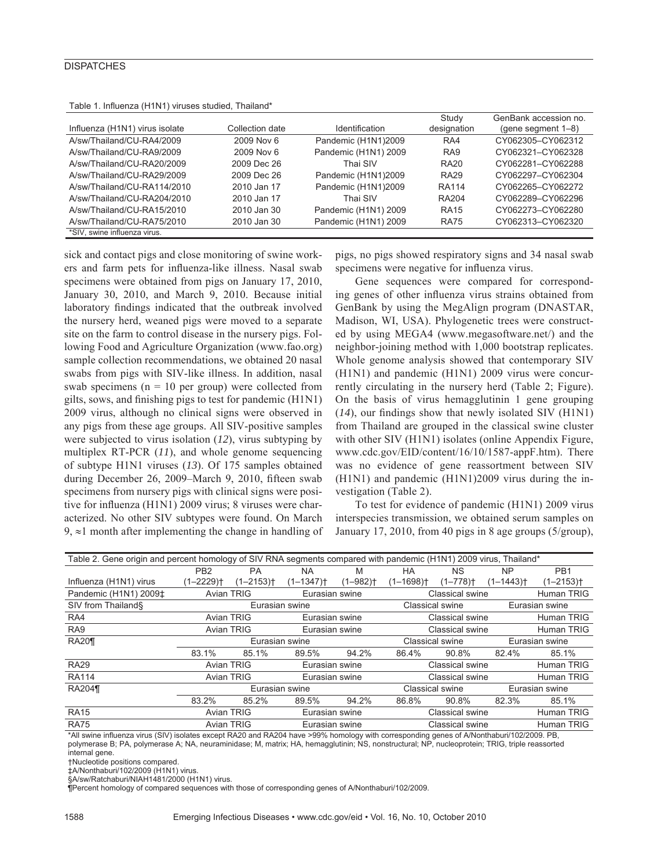## **DISPATCHES**

|                                |                 | Study                |                 | GenBank accession no. |  |
|--------------------------------|-----------------|----------------------|-----------------|-----------------------|--|
| Influenza (H1N1) virus isolate | Collection date | Identification       | designation     | (gene segment $1-8$ ) |  |
| A/sw/Thailand/CU-RA4/2009      | 2009 Nov 6      | Pandemic (H1N1)2009  | RA4             | CY062305-CY062312     |  |
| A/sw/Thailand/CU-RA9/2009      | 2009 Nov 6      | Pandemic (H1N1) 2009 | RA <sub>9</sub> | CY062321-CY062328     |  |
| A/sw/Thailand/CU-RA20/2009     | 2009 Dec 26     | Thai SIV             | <b>RA20</b>     | CY062281-CY062288     |  |
| A/sw/Thailand/CU-RA29/2009     | 2009 Dec 26     | Pandemic (H1N1)2009  | <b>RA29</b>     | CY062297-CY062304     |  |
| A/sw/Thailand/CU-RA114/2010    | 2010 Jan 17     | Pandemic (H1N1)2009  | <b>RA114</b>    | CY062265-CY062272     |  |
| A/sw/Thailand/CU-RA204/2010    | 2010 Jan 17     | Thai SIV             | <b>RA204</b>    | CY062289-CY062296     |  |
| A/sw/Thailand/CU-RA15/2010     | 2010 Jan 30     | Pandemic (H1N1) 2009 | <b>RA15</b>     | CY062273-CY062280     |  |
| A/sw/Thailand/CU-RA75/2010     | 2010 Jan 30     | Pandemic (H1N1) 2009 | <b>RA75</b>     | CY062313-CY062320     |  |
| *SIV, swine influenza virus.   |                 |                      |                 |                       |  |

Table 1. Influenza (H1N1) viruses studied, Thailand\*

sick and contact pigs and close monitoring of swine workers and farm pets for influenza-like illness. Nasal swab specimens were obtained from pigs on January 17, 2010, January 30, 2010, and March 9, 2010. Because initial laboratory findings indicated that the outbreak involved the nursery herd, weaned pigs were moved to a separate site on the farm to control disease in the nursery pigs. Following Food and Agriculture Organization (www.fao.org) sample collection recommendations, we obtained 20 nasal swabs from pigs with SIV-like illness. In addition, nasal swab specimens ( $n = 10$  per group) were collected from gilts, sows, and finishing pigs to test for pandemic  $(H1N1)$ 2009 virus, although no clinical signs were observed in any pigs from these age groups. All SIV-positive samples were subjected to virus isolation (*12*), virus subtyping by multiplex RT-PCR (*11*), and whole genome sequencing of subtype H1N1 viruses (*13*). Of 175 samples obtained during December 26, 2009–March 9, 2010, fifteen swab specimens from nursery pigs with clinical signs were positive for influenza (H1N1) 2009 virus; 8 viruses were characterized. No other SIV subtypes were found. On March 9,  $\approx$ 1 month after implementing the change in handling of pigs, no pigs showed respiratory signs and 34 nasal swab specimens were negative for influenza virus.

Gene sequences were compared for corresponding genes of other influenza virus strains obtained from GenBank by using the MegAlign program (DNASTAR, Madison, WI, USA). Phylogenetic trees were constructed by using MEGA4 (www.megasoftware.net/) and the neighbor-joining method with 1,000 bootstrap replicates. Whole genome analysis showed that contemporary SIV (H1N1) and pandemic (H1N1) 2009 virus were concurrently circulating in the nursery herd (Table 2; Figure). On the basis of virus hemagglutinin 1 gene grouping  $(14)$ , our findings show that newly isolated SIV (H1N1) from Thailand are grouped in the classical swine cluster with other SIV (H1N1) isolates (online Appendix Figure, www.cdc.gov/EID/content/16/10/1587-appF.htm). There was no evidence of gene reassortment between SIV (H1N1) and pandemic (H1N1)2009 virus during the investigation (Table 2).

To test for evidence of pandemic (H1N1) 2009 virus interspecies transmission, we obtained serum samples on January 17, 2010, from 40 pigs in 8 age groups (5/group),

| Table 2. Gene origin and percent homology of SIV RNA segments compared with pandemic (H1N1) 2009 virus, Thailand* |                   |                              |                |                          |                 |             |                   |                 |  |  |
|-------------------------------------------------------------------------------------------------------------------|-------------------|------------------------------|----------------|--------------------------|-----------------|-------------|-------------------|-----------------|--|--|
|                                                                                                                   | PB <sub>2</sub>   | <b>PA</b>                    | NA.            | M                        | <b>HA</b>       | NS.         | <b>NP</b>         | PB <sub>1</sub> |  |  |
| Influenza (H1N1) virus                                                                                            | $(1 - 2229)$      | $(1 - 2153)$                 | $(1 - 1347)$   | $(1 - 982)$ <sup>+</sup> | $(1 - 1698)$    | $(1 - 778)$ | $(1 - 1443)$      | $(1 - 2153)$    |  |  |
| Pandemic (H1N1) 2009‡                                                                                             | Avian TRIG        |                              | Eurasian swine |                          | Classical swine |             |                   | Human TRIG      |  |  |
| SIV from Thailand§                                                                                                |                   | Eurasian swine               |                |                          | Classical swine |             |                   | Eurasian swine  |  |  |
| RA4                                                                                                               | Avian TRIG        |                              | Eurasian swine |                          | Classical swine |             |                   | Human TRIG      |  |  |
| RA <sub>9</sub>                                                                                                   | Avian TRIG        |                              | Eurasian swine |                          | Classical swine |             |                   | Human TRIG      |  |  |
| <b>RA20¶</b>                                                                                                      |                   | Eurasian swine               |                |                          | Classical swine |             |                   | Eurasian swine  |  |  |
|                                                                                                                   | 83.1%             | 85.1%                        | 89.5%          | 94.2%                    | 86.4%           | 90.8%       | 82.4%             | 85.1%           |  |  |
| <b>RA29</b>                                                                                                       |                   | Avian TRIG<br>Eurasian swine |                | Classical swine          |                 |             | Human TRIG        |                 |  |  |
| <b>RA114</b>                                                                                                      | Avian TRIG        |                              | Eurasian swine |                          | Classical swine |             | <b>Human TRIG</b> |                 |  |  |
| <b>RA204¶</b>                                                                                                     | Eurasian swine    |                              |                |                          | Classical swine |             |                   | Eurasian swine  |  |  |
|                                                                                                                   | 83.2%             | 85.2%                        | 89.5%          | 94.2%                    | 86.8%           | 90.8%       | 82.3%             | 85.1%           |  |  |
| <b>RA15</b>                                                                                                       | Avian TRIG        |                              | Eurasian swine |                          | Classical swine |             |                   | Human TRIG      |  |  |
| <b>RA75</b>                                                                                                       | <b>Avian TRIG</b> |                              | Eurasian swine |                          | Classical swine |             |                   | Human TRIG      |  |  |

\*All swine influenza virus (SIV) isolates except RA20 and RA204 have >99% homology with corresponding genes of A/Nonthaburi/102/2009. PB, polymerase B; PA, polymerase A; NA, neuraminidase; M, matrix; HA, hemagglutinin; NS, nonstructural; NP, nucleoprotein; TRIG, triple reassorted internal gene.

†Nucleotide positions compared.

‡A/Nonthaburi/102/2009 (H1N1) virus.

§A/sw/Ratchaburi/NIAH1481/2000 (H1N1) virus.

¶Percent homology of compared sequences with those of corresponding genes of A/Nonthaburi/102/2009.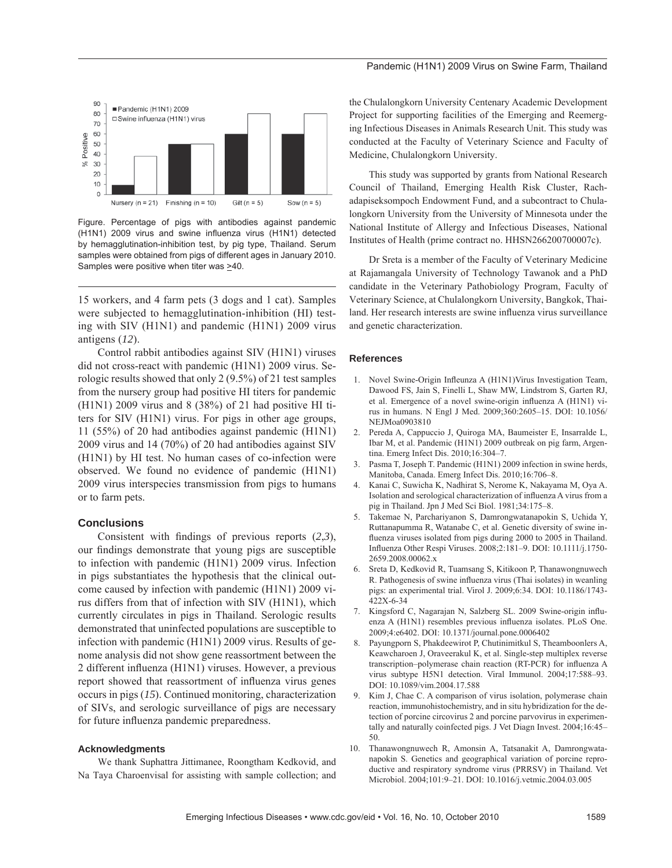

Figure. Percentage of pigs with antibodies against pandemic (H1N1) 2009 virus and swine influenza virus (H1N1) detected by hemagglutination-inhibition test, by pig type, Thailand. Serum samples were obtained from pigs of different ages in January 2010. Samples were positive when titer was  $\geq 40$ .

15 workers, and 4 farm pets (3 dogs and 1 cat). Samples were subjected to hemagglutination-inhibition (HI) testing with SIV (H1N1) and pandemic (H1N1) 2009 virus antigens (*12*).

Control rabbit antibodies against SIV (H1N1) viruses did not cross-react with pandemic (H1N1) 2009 virus. Serologic results showed that only 2 (9.5%) of 21 test samples from the nursery group had positive HI titers for pandemic (H1N1) 2009 virus and 8 (38%) of 21 had positive HI titers for SIV (H1N1) virus. For pigs in other age groups, 11 (55%) of 20 had antibodies against pandemic (H1N1) 2009 virus and 14 (70%) of 20 had antibodies against SIV (H1N1) by HI test. No human cases of co-infection were observed. We found no evidence of pandemic (H1N1) 2009 virus interspecies transmission from pigs to humans or to farm pets.

#### **Conclusions**

Consistent with findings of previous reports  $(2,3)$ , our findings demonstrate that young pigs are susceptible to infection with pandemic (H1N1) 2009 virus. Infection in pigs substantiates the hypothesis that the clinical outcome caused by infection with pandemic (H1N1) 2009 virus differs from that of infection with SIV (H1N1), which currently circulates in pigs in Thailand. Serologic results demonstrated that uninfected populations are susceptible to infection with pandemic (H1N1) 2009 virus. Results of genome analysis did not show gene reassortment between the 2 different influenza (H1N1) viruses. However, a previous report showed that reassortment of influenza virus genes occurs in pigs (*15*). Continued monitoring, characterization of SIVs, and serologic surveillance of pigs are necessary for future influenza pandemic preparedness.

#### **Acknowledgments**

We thank Suphattra Jittimanee, Roongtham Kedkovid, and Na Taya Charoenvisal for assisting with sample collection; and the Chulalongkorn University Centenary Academic Development Project for supporting facilities of the Emerging and Reemerging Infectious Diseases in Animals Research Unit. This study was conducted at the Faculty of Veterinary Science and Faculty of Medicine, Chulalongkorn University.

This study was supported by grants from National Research Council of Thailand, Emerging Health Risk Cluster, Rachadapiseksompoch Endowment Fund, and a subcontract to Chulalongkorn University from the University of Minnesota under the National Institute of Allergy and Infectious Diseases, National Institutes of Health (prime contract no. HHSN266200700007c).

Dr Sreta is a member of the Faculty of Veterinary Medicine at Rajamangala University of Technology Tawanok and a PhD candidate in the Veterinary Pathobiology Program, Faculty of Veterinary Science, at Chulalongkorn University, Bangkok, Thailand. Her research interests are swine influenza virus surveillance and genetic characterization.

#### **References**

- 1. Novel Swine-Origin Infleunza A (H1N1) Virus Investigation Team, Dawood FS, Jain S, Finelli L, Shaw MW, Lindstrom S, Garten RJ, et al. Emergence of a novel swine-origin influenza A (H1N1) virus in humans. N Engl J Med. 2009;360:2605–15. DOI: 10.1056/ NEJMoa0903810
- 2. Pereda A, Cappuccio J, Quiroga MA, Baumeister E, Insarralde L, Ibar M, et al. Pandemic (H1N1) 2009 outbreak on pig farm, Argentina. Emerg Infect Dis. 2010;16:304–7.
- 3. Pasma T, Joseph T. Pandemic (H1N1) 2009 infection in swine herds, Manitoba, Canada. Emerg Infect Dis. 2010;16:706–8.
- 4. Kanai C, Suwicha K, Nadhirat S, Nerome K, Nakayama M, Oya A. Isolation and serological characterization of influenza A virus from a pig in Thailand. Jpn J Med Sci Biol. 1981;34:175–8.
- 5. Takemae N, Parchariyanon S, Damrongwatanapokin S, Uchida Y, Ruttanapumma R, Watanabe C, et al. Genetic diversity of swine influenza viruses isolated from pigs during 2000 to 2005 in Thailand. Infl uenza Other Respi Viruses. 2008;2:181–9. DOI: 10.1111/j.1750- 2659.2008.00062.x
- 6. Sreta D, Kedkovid R, Tuamsang S, Kitikoon P, Thanawongnuwech R. Pathogenesis of swine influenza virus (Thai isolates) in weanling pigs: an experimental trial. Virol J. 2009;6:34. DOI: 10.1186/1743- 422X-6-34
- 7. Kingsford C, Nagarajan N, Salzberg SL, 2009 Swine-origin influenza A (H1N1) resembles previous influenza isolates. PLoS One. 2009;4:e6402. DOI: 10.1371/journal.pone.0006402
- 8. Payungporn S, Phakdeewirot P, Chutinimitkul S, Theamboonlers A, Keawcharoen J, Oraveerakul K, et al. Single-step multiplex reverse transcription-polymerase chain reaction (RT-PCR) for influenza A virus subtype H5N1 detection. Viral Immunol. 2004;17:588–93. DOI: 10.1089/vim.2004.17.588
- 9. Kim J, Chae C. A comparison of virus isolation, polymerase chain reaction, immunohistochemistry, and in situ hybridization for the detection of porcine circovirus 2 and porcine parvovirus in experimentally and naturally coinfected pigs. J Vet Diagn Invest. 2004;16:45– 50.
- 10. Thanawongnuwech R, Amonsin A, Tatsanakit A, Damrongwatanapokin S. Genetics and geographical variation of porcine reproductive and respiratory syndrome virus (PRRSV) in Thailand. Vet Microbiol. 2004;101:9–21. DOI: 10.1016/j.vetmic.2004.03.005